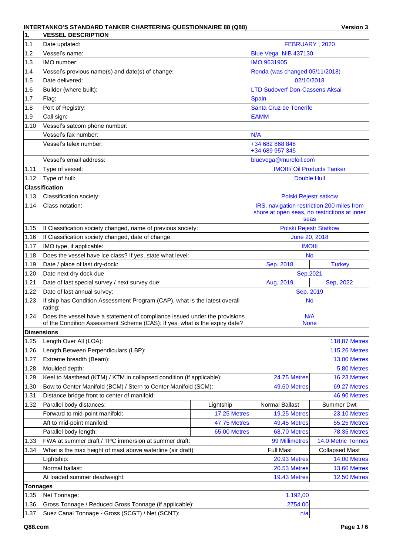| 1.                | <b>VESSEL DESCRIPTION</b>                                                                                                                                |                      |                                            |                                              |  |  |
|-------------------|----------------------------------------------------------------------------------------------------------------------------------------------------------|----------------------|--------------------------------------------|----------------------------------------------|--|--|
| 1.1               | Date updated:                                                                                                                                            | FEBRUARY, 2020       |                                            |                                              |  |  |
| 1.2               | Vessel's name:                                                                                                                                           | Blue Vega NIB 437130 |                                            |                                              |  |  |
| 1.3               | IMO number:                                                                                                                                              | <b>IMO 9631905</b>   |                                            |                                              |  |  |
| 1.4               | Vessel's previous name(s) and date(s) of change:                                                                                                         |                      | Ronda (was changed 05/11/2018)             |                                              |  |  |
| 1.5               | Date delivered:                                                                                                                                          |                      | 02/10/2018                                 |                                              |  |  |
| 1.6               | Builder (where built):                                                                                                                                   |                      | <b>LTD Sudoverf Don-Cassens Aksai</b>      |                                              |  |  |
| 1.7               | Flag:                                                                                                                                                    |                      | Spain                                      |                                              |  |  |
| 1.8               | Port of Registry:                                                                                                                                        |                      | Santa Cruz de Tenerife                     |                                              |  |  |
| 1.9               | Call sign:                                                                                                                                               |                      | <b>EAMM</b>                                |                                              |  |  |
| 1.10              | Vessel's satcom phone number:                                                                                                                            |                      |                                            |                                              |  |  |
|                   | Vessel's fax number:                                                                                                                                     |                      | N/A                                        |                                              |  |  |
|                   | Vessel's telex number:                                                                                                                                   |                      | +34 682 868 848<br>+34 689 957 345         |                                              |  |  |
|                   | Vessel's email address:                                                                                                                                  |                      | bluevega@mureloil.com                      |                                              |  |  |
| 1.11              | Type of vessel:                                                                                                                                          |                      | <b>IMOIII/ Oil Products Tanker</b>         |                                              |  |  |
| 1.12              | Type of hull:                                                                                                                                            |                      | <b>Double Hull</b>                         |                                              |  |  |
|                   | <b>Classification</b>                                                                                                                                    |                      |                                            |                                              |  |  |
| 1.13              | Classification society:                                                                                                                                  |                      | Polski Rejestr satkow                      |                                              |  |  |
| 1.14              | Class notation:                                                                                                                                          |                      | IRS, navigation restriction 200 miles from |                                              |  |  |
|                   |                                                                                                                                                          |                      | seas                                       | shore at open seas, no restrictions at inner |  |  |
| 1.15              | If Classification society changed, name of previous society:                                                                                             |                      | <b>Polski Rejestr Statkow</b>              |                                              |  |  |
| 1.16              | If Classification society changed, date of change:                                                                                                       |                      | June 20, 2018                              |                                              |  |  |
| 1.17              | IMO type, if applicable:                                                                                                                                 |                      | <b>IMOIII</b>                              |                                              |  |  |
| 1.18              | Does the vessel have ice class? If yes, state what level:                                                                                                |                      | <b>No</b>                                  |                                              |  |  |
| 1.19              | Date / place of last dry-dock:                                                                                                                           |                      | Sep. 2018                                  | <b>Turkey</b>                                |  |  |
| 1.20              | Date next dry dock due                                                                                                                                   |                      | Sep.2021                                   |                                              |  |  |
| 1.21              | Date of last special survey / next survey due:                                                                                                           |                      | Aug, 2019                                  | Sep, 2022                                    |  |  |
| 1.22              | Date of last annual survey:                                                                                                                              |                      | Sep. 2019                                  |                                              |  |  |
| 1.23              | If ship has Condition Assessment Program (CAP), what is the latest overall<br>rating:                                                                    |                      | <b>No</b>                                  |                                              |  |  |
| 1.24              | Does the vessel have a statement of compliance issued under the provisions<br>of the Condition Assessment Scheme (CAS): If yes, what is the expiry date? |                      | N/A<br><b>None</b>                         |                                              |  |  |
| <b>Dimensions</b> |                                                                                                                                                          |                      |                                            |                                              |  |  |
| 1.25              | Length Over All (LOA):                                                                                                                                   |                      |                                            | <b>118,87 Metres</b>                         |  |  |
| 1.26              | Length Between Perpendiculars (LBP):                                                                                                                     |                      |                                            | <b>115.26 Metres</b>                         |  |  |
| 1.27              | Extreme breadth (Beam):                                                                                                                                  |                      |                                            | 13,00 Metres                                 |  |  |
| 1.28              | Moulded depth:                                                                                                                                           |                      |                                            | 5,80 Metres                                  |  |  |
| 1.29              | Keel to Masthead (KTM) / KTM in collapsed condition (if applicable):                                                                                     |                      | 24.75 Metres                               | 16.23 Metres                                 |  |  |
| 1.30              | Bow to Center Manifold (BCM) / Stern to Center Manifold (SCM):                                                                                           |                      | 49.60 Metres                               | 69.27 Metres                                 |  |  |
| 1.31              | Distance bridge front to center of manifold:                                                                                                             |                      |                                            | 46.90 Metres                                 |  |  |
| 1.32              | Parallel body distances:                                                                                                                                 | Lightship            | Normal Ballast                             | Summer Dwt                                   |  |  |
|                   | Forward to mid-point manifold:                                                                                                                           | 17.25 Metres         | 19.25 Metres                               | 23.10 Metres                                 |  |  |
|                   | Aft to mid-point manifold:                                                                                                                               | 47.75 Metres         | 49.45 Metres                               | 55.25 Metres                                 |  |  |
|                   | Parallel body length:                                                                                                                                    | 65.00 Metres         | 68.70 Metres                               | <b>78.35 Metres</b>                          |  |  |
| 1.33              | FWA at summer draft / TPC immersion at summer draft:                                                                                                     |                      | 99 Millimetres                             | 14.0 Metric Tonnes                           |  |  |
| 1.34              | What is the max height of mast above waterline (air draft)                                                                                               |                      | <b>Full Mast</b>                           | <b>Collapsed Mast</b>                        |  |  |
|                   | Lightship:                                                                                                                                               |                      | 20.93 Metres                               | 14,00 Metres                                 |  |  |
|                   | Normal ballast:                                                                                                                                          |                      | 20.53 Metres                               | 13,60 Metres                                 |  |  |
|                   | At loaded summer deadweight:                                                                                                                             |                      | 19.43 Metres                               | 12,50 Metres                                 |  |  |
| <b>Tonnages</b>   |                                                                                                                                                          |                      |                                            |                                              |  |  |
| 1.35              | Net Tonnage:                                                                                                                                             |                      | 1.192,00                                   |                                              |  |  |
| 1.36              | Gross Tonnage / Reduced Gross Tonnage (if applicable):                                                                                                   |                      | 2754.00                                    |                                              |  |  |
| 1.37              | Suez Canal Tonnage - Gross (SCGT) / Net (SCNT):                                                                                                          |                      | n/a                                        |                                              |  |  |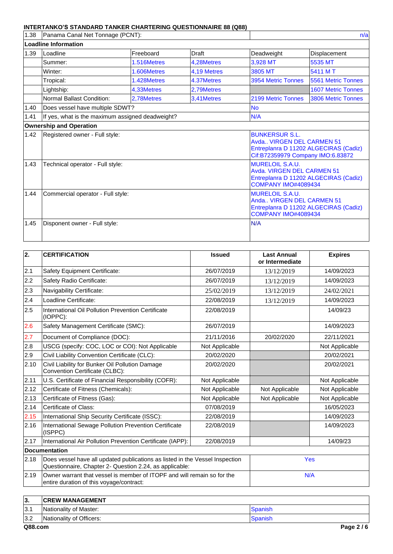| 1.38 | Panama Canal Net Tonnage (PCNT):<br>n/a          |             |              |                                                                            |                                                                                                           |  |  |  |
|------|--------------------------------------------------|-------------|--------------|----------------------------------------------------------------------------|-----------------------------------------------------------------------------------------------------------|--|--|--|
|      | <b>Loadline Information</b>                      |             |              |                                                                            |                                                                                                           |  |  |  |
| 1.39 | Loadline                                         | Freeboard   | <b>Draft</b> | Deadweight                                                                 | <b>Displacement</b>                                                                                       |  |  |  |
|      | Summer:                                          | 1.516Metres | 4.28Metres   | 3,928 MT                                                                   | 5535 MT                                                                                                   |  |  |  |
|      | Winter:                                          | 1.606Metres | 4.19 Metres  | 3805 MT                                                                    | 5411 M T                                                                                                  |  |  |  |
|      | Tropical:                                        | 1.428Metres | 4.37Metres   | 3954 Metric Tonnes                                                         | 5561 Metric Tonnes                                                                                        |  |  |  |
|      | Lightship:                                       | 4,33Metres  | 2,79Metres   |                                                                            | <b>1607 Metric Tonnes</b>                                                                                 |  |  |  |
|      | Normal Ballast Condition:                        | 2,78Metres  | 3,41Metres   | 2199 Metric Tonnes                                                         | 3806 Metric Tonnes                                                                                        |  |  |  |
| 1.40 | Does vessel have multiple SDWT?                  |             |              | <b>No</b>                                                                  |                                                                                                           |  |  |  |
| 1.41 | If yes, what is the maximum assigned deadweight? |             |              | N/A                                                                        |                                                                                                           |  |  |  |
|      | <b>Ownership and Operation</b>                   |             |              |                                                                            |                                                                                                           |  |  |  |
| 1.42 | Registered owner - Full style:                   |             |              | <b>BUNKERSUR S.L.</b>                                                      | Avda., VIRGEN DEL CARMEN 51<br>Entreplanra D 11202 ALGECIRAS (Cadiz)<br>Cif:B72359979 Company IMO:6.83872 |  |  |  |
| 1.43 | Technical operator - Full style:                 |             |              | <b>MURELOIL S.A.U.</b>                                                     | Avda, VIRGEN DEL CARMEN 51<br>Entreplanra D 11202 ALGECIRAS (Cadiz)<br><b>COMPANY IMO#4089434</b>         |  |  |  |
| 1.44 | Commercial operator - Full style:                |             |              | <b>MURELOIL S.A.U.</b><br>Anda VIRGEN DEL CARMEN 51<br>COMPANY IMO#4089434 | Entreplanra D 11202 ALGECIRAS (Cadiz)                                                                     |  |  |  |
| 1.45 | Disponent owner - Full style:                    |             |              | N/A                                                                        |                                                                                                           |  |  |  |

| 2.   | <b>CERTIFICATION</b>                                                                                                                    | <b>Issued</b>  | <b>Last Annual</b><br>or Intermediate | <b>Expires</b> |  |
|------|-----------------------------------------------------------------------------------------------------------------------------------------|----------------|---------------------------------------|----------------|--|
| 2.1  | Safety Equipment Certificate:                                                                                                           | 26/07/2019     | 13/12/2019                            | 14/09/2023     |  |
| 2.2  | Safety Radio Certificate:                                                                                                               | 26/07/2019     | 13/12/2019                            | 14/09/2023     |  |
| 2.3  | Navigability Certificate:                                                                                                               | 25/02/2019     | 13/12/2019                            | 24/02/2021     |  |
| 2.4  | Loadline Certificate:                                                                                                                   | 22/08/2019     | 13/12/2019                            | 14/09/2023     |  |
| 2.5  | International Oil Pollution Prevention Certificate<br>(IOPPC):                                                                          | 22/08/2019     |                                       | 14/09/23       |  |
| 2.6  | Safety Management Certificate (SMC):                                                                                                    | 26/07/2019     |                                       | 14/09/2023     |  |
| 2.7  | Document of Compliance (DOC):                                                                                                           | 21/11/2016     | 20/02/2020                            | 22/11/2021     |  |
| 2.8  | USCG (specify: COC, LOC or COI): Not Applicable                                                                                         | Not Applicable |                                       | Not Applicable |  |
| 2.9  | Civil Liability Convention Certificate (CLC):                                                                                           | 20/02/2020     |                                       | 20/02/2021     |  |
| 2.10 | Civil Liability for Bunker Oil Pollution Damage<br>Convention Certificate (CLBC):                                                       | 20/02/2020     |                                       | 20/02/2021     |  |
| 2.11 | U.S. Certificate of Financial Responsibility (COFR):                                                                                    | Not Applicable |                                       | Not Applicable |  |
| 2.12 | Certificate of Fitness (Chemicals):                                                                                                     | Not Applicable | Not Applicable                        | Not Applicable |  |
| 2.13 | Certificate of Fitness (Gas):                                                                                                           | Not Applicable | Not Applicable                        | Not Applicable |  |
| 2.14 | Certificate of Class:                                                                                                                   | 07/08/2019     |                                       | 16/05/2023     |  |
| 2.15 | International Ship Security Certificate (ISSC):                                                                                         | 22/08/2019     |                                       | 14/09/2023     |  |
| 2.16 | International Sewage Pollution Prevention Certificate<br>(ISPPC)                                                                        | 22/08/2019     |                                       | 14/09/2023     |  |
| 2.17 | International Air Pollution Prevention Certificate (IAPP):                                                                              | 22/08/2019     |                                       | 14/09/23       |  |
|      | <b>Documentation</b>                                                                                                                    |                |                                       |                |  |
| 2.18 | Does vessel have all updated publications as listed in the Vessel Inspection<br>Questionnaire, Chapter 2- Question 2.24, as applicable: |                | Yes                                   |                |  |
| 2.19 | Owner warrant that vessel is member of ITOPF and will remain so for the<br>entire duration of this voyage/contract:                     |                | N/A                                   |                |  |

| ΙЗ.  | <b>ICREW MANAGEMENT</b>  |         |
|------|--------------------------|---------|
| 13.1 | Nationality of Master:   | Spanish |
| 3.2  | Nationality of Officers: | Spanish |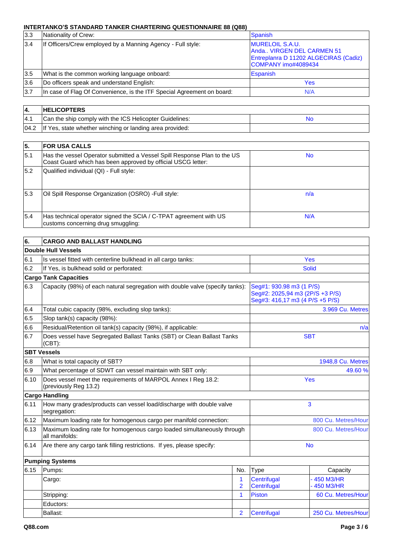| 3.3 | Nationality of Crew:                                                   | <b>Spanish</b>                                                                                                      |
|-----|------------------------------------------------------------------------|---------------------------------------------------------------------------------------------------------------------|
| 3.4 | If Officers/Crew employed by a Manning Agency - Full style:            | <b>MURELOIL S.A.U.</b><br>Anda VIRGEN DEL CARMEN 51<br>Entreplanra D 11202 ALGECIRAS (Cadiz)<br>COMPANY imo#4089434 |
| 3.5 | What is the common working language onboard:                           | Espanish                                                                                                            |
| 3.6 | Do officers speak and understand English:                              | Yes                                                                                                                 |
| 3.7 | In case of Flag Of Convenience, is the ITF Special Agreement on board: | N/A                                                                                                                 |

| 14.  | <b>HELICOPTERS</b>                                              |    |
|------|-----------------------------------------------------------------|----|
| 14.1 | Can the ship comply with the ICS Helicopter Guidelines:         | Nc |
|      | 04.2   If Yes, state whether winching or landing area provided: |    |

| 5.   | <b>FOR USA CALLS</b>                                                                                                                     |           |
|------|------------------------------------------------------------------------------------------------------------------------------------------|-----------|
| 15.1 | Has the vessel Operator submitted a Vessel Spill Response Plan to the US<br>Coast Guard which has been approved by official USCG letter: | <b>No</b> |
| 5.2  | Qualified individual (QI) - Full style:                                                                                                  |           |
| 15.3 | Oil Spill Response Organization (OSRO) - Full style:                                                                                     | n/a       |
| 5.4  | Has technical operator signed the SCIA / C-TPAT agreement with US<br>customs concerning drug smuggling:                                  | N/A       |

| 6.   | <b>CARGO AND BALLAST HANDLING</b>                                                         |                     |                            |                                                                                                |  |  |  |
|------|-------------------------------------------------------------------------------------------|---------------------|----------------------------|------------------------------------------------------------------------------------------------|--|--|--|
|      | Double Hull Vessels                                                                       |                     |                            |                                                                                                |  |  |  |
| 6.1  | Is vessel fitted with centerline bulkhead in all cargo tanks:                             |                     |                            | <b>Yes</b>                                                                                     |  |  |  |
| 6.2  | If Yes, is bulkhead solid or perforated:                                                  |                     |                            | <b>Solid</b>                                                                                   |  |  |  |
|      | <b>Cargo Tank Capacities</b>                                                              |                     |                            |                                                                                                |  |  |  |
| 6.3  | Capacity (98%) of each natural segregation with double valve (specify tanks):             |                     |                            | Seg#1: 930.98 m3 (1 P/S)<br>Seg#2: 2025,94 m3 (2P/S +3 P/S)<br>Seg#3: 416,17 m3 (4 P/S +5 P/S) |  |  |  |
| 6.4  | Total cubic capacity (98%, excluding slop tanks):                                         |                     |                            | 3.969 Cu. Metres                                                                               |  |  |  |
| 6.5  | Slop tank(s) capacity (98%):                                                              |                     |                            |                                                                                                |  |  |  |
| 6.6  | Residual/Retention oil tank(s) capacity (98%), if applicable:                             |                     |                            | n/a                                                                                            |  |  |  |
| 6.7  | Does vessel have Segregated Ballast Tanks (SBT) or Clean Ballast Tanks<br>$(CBT)$ :       |                     |                            | <b>SBT</b>                                                                                     |  |  |  |
|      | <b>SBT Vessels</b>                                                                        |                     |                            |                                                                                                |  |  |  |
| 6.8  | What is total capacity of SBT?                                                            |                     |                            | 1948,8 Cu. Metres                                                                              |  |  |  |
| 6.9  | What percentage of SDWT can vessel maintain with SBT only:                                |                     |                            | 49.60%                                                                                         |  |  |  |
| 6.10 | Does vessel meet the requirements of MARPOL Annex I Reg 18.2:<br>(previously Reg 13.2)    |                     | Yes                        |                                                                                                |  |  |  |
|      | <b>Cargo Handling</b>                                                                     |                     |                            |                                                                                                |  |  |  |
| 6.11 | How many grades/products can vessel load/discharge with double valve<br>segregation:      |                     |                            | 3                                                                                              |  |  |  |
| 6.12 | Maximum loading rate for homogenous cargo per manifold connection:                        |                     |                            | 800 Cu. Metres/Hour                                                                            |  |  |  |
| 6.13 | Maximum loading rate for homogenous cargo loaded simultaneously through<br>all manifolds: |                     |                            | 800 Cu. Metres/Hour                                                                            |  |  |  |
| 6.14 | Are there any cargo tank filling restrictions. If yes, please specify:                    |                     |                            | <b>No</b>                                                                                      |  |  |  |
|      | <b>Pumping Systems</b>                                                                    |                     |                            |                                                                                                |  |  |  |
| 6.15 | Pumps:                                                                                    | No.                 | Type                       | Capacity                                                                                       |  |  |  |
|      | Cargo:                                                                                    | 1<br>$\overline{2}$ | Centrifugal<br>Centrifugal | 450 M3/HR<br>450 M3/HR                                                                         |  |  |  |
|      | Stripping:                                                                                | 1                   | <b>Piston</b>              | 60 Cu. Metres/Hour                                                                             |  |  |  |
|      | Eductors:                                                                                 |                     |                            |                                                                                                |  |  |  |
|      | Ballast:                                                                                  | $\overline{2}$      | Centrifugal                | 250 Cu. Metres/Hour                                                                            |  |  |  |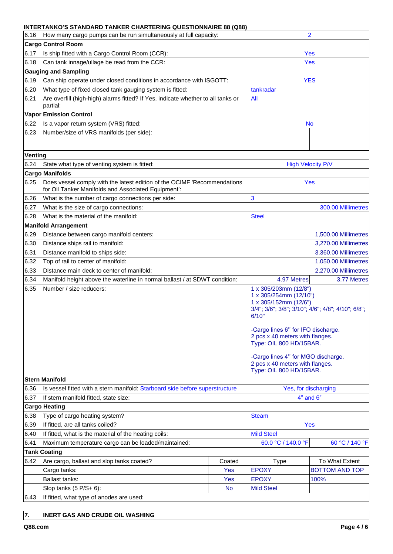|         | INTENTANNO O OTANDAND TANNEN CHANTENING QUESTIONNAINE 00 (Q00)                                                                  |                                                                          |                                                                                                                                                                                                               |                                                   |
|---------|---------------------------------------------------------------------------------------------------------------------------------|--------------------------------------------------------------------------|---------------------------------------------------------------------------------------------------------------------------------------------------------------------------------------------------------------|---------------------------------------------------|
| 6.16    | How many cargo pumps can be run simultaneously at full capacity:                                                                |                                                                          |                                                                                                                                                                                                               | $\overline{2}$                                    |
|         | <b>Cargo Control Room</b>                                                                                                       |                                                                          |                                                                                                                                                                                                               |                                                   |
| 6.17    | Is ship fitted with a Cargo Control Room (CCR):                                                                                 |                                                                          | Yes                                                                                                                                                                                                           |                                                   |
| 6.18    | Can tank innage/ullage be read from the CCR:                                                                                    |                                                                          | <b>Yes</b>                                                                                                                                                                                                    |                                                   |
|         | <b>Gauging and Sampling</b>                                                                                                     |                                                                          |                                                                                                                                                                                                               |                                                   |
| 6.19    | Can ship operate under closed conditions in accordance with ISGOTT:                                                             |                                                                          |                                                                                                                                                                                                               | <b>YES</b>                                        |
| 6.20    | What type of fixed closed tank gauging system is fitted:                                                                        |                                                                          | tankradar                                                                                                                                                                                                     |                                                   |
| 6.21    | Are overfill (high-high) alarms fitted? If Yes, indicate whether to all tanks or<br>partial:                                    |                                                                          | All                                                                                                                                                                                                           |                                                   |
|         | <b>Vapor Emission Control</b>                                                                                                   |                                                                          |                                                                                                                                                                                                               |                                                   |
| 6.22    | Is a vapor return system (VRS) fitted:                                                                                          |                                                                          |                                                                                                                                                                                                               | No                                                |
| 6.23    | Number/size of VRS manifolds (per side):                                                                                        |                                                                          |                                                                                                                                                                                                               |                                                   |
| Venting |                                                                                                                                 |                                                                          |                                                                                                                                                                                                               |                                                   |
| 6.24    | State what type of venting system is fitted:                                                                                    |                                                                          |                                                                                                                                                                                                               | <b>High Velocity P/V</b>                          |
|         | <b>Cargo Manifolds</b>                                                                                                          |                                                                          |                                                                                                                                                                                                               |                                                   |
| 6.25    | Does vessel comply with the latest edition of the OCIMF 'Recommendations<br>for Oil Tanker Manifolds and Associated Equipment': |                                                                          |                                                                                                                                                                                                               | Yes                                               |
| 6.26    | What is the number of cargo connections per side:                                                                               |                                                                          | 3                                                                                                                                                                                                             |                                                   |
| 6.27    | What is the size of cargo connections:                                                                                          |                                                                          |                                                                                                                                                                                                               | 300.00 Millimetres                                |
| 6.28    | What is the material of the manifold:                                                                                           |                                                                          | <b>Steel</b>                                                                                                                                                                                                  |                                                   |
|         | <b>Manifold Arrangement</b>                                                                                                     |                                                                          |                                                                                                                                                                                                               |                                                   |
| 6.29    | Distance between cargo manifold centers:                                                                                        |                                                                          | 1,500.00 Millimetres                                                                                                                                                                                          |                                                   |
| 6.30    | Distance ships rail to manifold:                                                                                                |                                                                          | 3,270.00 Millimetres                                                                                                                                                                                          |                                                   |
| 6.31    | Distance manifold to ships side:                                                                                                |                                                                          | 3.360.00 Millimetres                                                                                                                                                                                          |                                                   |
| 6.32    | Top of rail to center of manifold:                                                                                              |                                                                          | 1.050.00 Millimetres                                                                                                                                                                                          |                                                   |
| 6.33    | Distance main deck to center of manifold:                                                                                       |                                                                          |                                                                                                                                                                                                               | 2,270.00 Millimetres                              |
| 6.34    | Manifold height above the waterline in normal ballast / at SDWT condition:                                                      |                                                                          | 4.97 Metres<br>3.77 Metres                                                                                                                                                                                    |                                                   |
| 6.35    | Number / size reducers:                                                                                                         | 1 x 305/203mm (12/8")<br>1 x 305/254mm (12/10")<br>1 x 305/152mm (12/6") |                                                                                                                                                                                                               |                                                   |
|         |                                                                                                                                 |                                                                          | 6/10"<br>-Cargo lines 6" for IFO discharge.<br>2 pcs x 40 meters with flanges.<br>Type: OIL 800 HD/15BAR.<br>-Cargo lines 4" for MGO discharge.<br>2 pcs x 40 meters with flanges.<br>Type: OIL 800 HD/15BAR. | 3/4"; 3/6"; 3/8"; 3/10"; 4/6"; 4/8"; 4/10"; 6/8"; |
|         | <b>Stern Manifold</b>                                                                                                           |                                                                          |                                                                                                                                                                                                               |                                                   |
| 6.36    | Is vessel fitted with a stern manifold: Starboard side before superstructure                                                    |                                                                          |                                                                                                                                                                                                               | Yes, for discharging                              |
| 6.37    | If stern manifold fitted, state size:                                                                                           |                                                                          |                                                                                                                                                                                                               | $4"$ and $6"$                                     |
|         | <b>Cargo Heating</b>                                                                                                            |                                                                          |                                                                                                                                                                                                               |                                                   |
| 6.38    | Type of cargo heating system?                                                                                                   |                                                                          | <b>Steam</b>                                                                                                                                                                                                  |                                                   |
| 6.39    | If fitted, are all tanks coiled?                                                                                                |                                                                          |                                                                                                                                                                                                               | Yes                                               |
| 6.40    | If fitted, what is the material of the heating coils:                                                                           |                                                                          | <b>Mild Steel</b>                                                                                                                                                                                             |                                                   |
| 6.41    | Maximum temperature cargo can be loaded/maintained:                                                                             |                                                                          | 60.0 °C / 140.0 °F                                                                                                                                                                                            | 60 °C / 140 °F                                    |
|         | <b>Tank Coating</b>                                                                                                             |                                                                          |                                                                                                                                                                                                               |                                                   |
| 6.42    | Are cargo, ballast and slop tanks coated?                                                                                       | Coated                                                                   | <b>Type</b>                                                                                                                                                                                                   | To What Extent                                    |
|         | Cargo tanks:                                                                                                                    | Yes                                                                      | <b>EPOXY</b>                                                                                                                                                                                                  | <b>BOTTOM AND TOP</b>                             |
|         | Ballast tanks:                                                                                                                  | Yes                                                                      | <b>EPOXY</b>                                                                                                                                                                                                  | 100%                                              |
| 6.43    | Slop tanks $(5 P/S + 6)$ :<br>If fitted, what type of anodes are used:                                                          | <b>No</b>                                                                | <b>Mild Steel</b>                                                                                                                                                                                             |                                                   |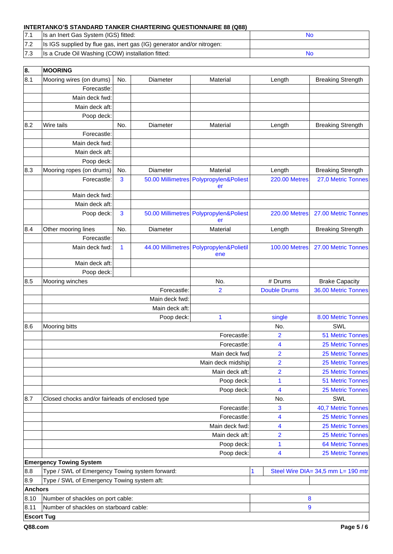|     | Is an Inert Gas System (IGS) fitted:                                   |  |
|-----|------------------------------------------------------------------------|--|
|     | Is IGS supplied by flue gas, inert gas (IG) generator and/or nitrogen: |  |
| 7.3 | Is a Crude Oil Washing (COW) installation fitted:                      |  |

| 8.                | <b>MOORING</b>                                  |     |                   |                              |                      |                                    |
|-------------------|-------------------------------------------------|-----|-------------------|------------------------------|----------------------|------------------------------------|
| 8.1               | Mooring wires (on drums)                        | No. | Diameter          | Material                     | Length               | <b>Breaking Strength</b>           |
|                   | Forecastle:                                     |     |                   |                              |                      |                                    |
|                   | Main deck fwd:                                  |     |                   |                              |                      |                                    |
|                   | Main deck aft:                                  |     |                   |                              |                      |                                    |
|                   | Poop deck:                                      |     |                   |                              |                      |                                    |
| 8.2               | Wire tails                                      | No. | Diameter          | Material                     | Length               | <b>Breaking Strength</b>           |
|                   | Forecastle:                                     |     |                   |                              |                      |                                    |
|                   | Main deck fwd:                                  |     |                   |                              |                      |                                    |
|                   | Main deck aft:                                  |     |                   |                              |                      |                                    |
|                   | Poop deck:                                      |     |                   |                              |                      |                                    |
| 8.3               | Mooring ropes (on drums)                        | No. | Diameter          | Material                     | Length               | <b>Breaking Strength</b>           |
|                   | Forecastle:                                     | 3   | 50.00 Millimetres | Polypropylen&Poliest<br>er   | <b>220.00 Metres</b> | 27,0 Metric Tonnes                 |
|                   | Main deck fwd:                                  |     |                   |                              |                      |                                    |
|                   | Main deck aft:                                  |     |                   |                              |                      |                                    |
|                   | Poop deck:                                      | 3   | 50.00 Millimetres | Polypropylen&Poliest<br>er   | <b>220.00 Metres</b> | 27.00 Metric Tonnes                |
| 8.4               | Other mooring lines                             | No. | Diameter          | Material                     | Length               | <b>Breaking Strength</b>           |
|                   | Forecastle:                                     |     |                   |                              |                      |                                    |
|                   | Main deck fwd:                                  | 1   | 44.00 Millimetres | Polypropylen&Polietil<br>ene | <b>100.00 Metres</b> | 27.00 Metric Tonnes                |
|                   | Main deck aft:                                  |     |                   |                              |                      |                                    |
|                   | Poop deck:                                      |     |                   |                              |                      |                                    |
| 8.5               | Mooring winches                                 |     |                   | No.                          | # Drums              | <b>Brake Capacity</b>              |
|                   |                                                 |     | Forecastle:       | 2                            | <b>Double Drums</b>  | 36.00 Metric Tonnes                |
|                   |                                                 |     | Main deck fwd:    |                              |                      |                                    |
|                   |                                                 |     | Main deck aft:    |                              |                      |                                    |
|                   |                                                 |     | Poop deck:        | 1                            | single               | 8.00 Metric Tonnes                 |
| 8.6               | Mooring bitts                                   |     |                   |                              | No.                  | SWL                                |
|                   |                                                 |     |                   | Forecastle:                  | $\overline{2}$       | <b>51 Metric Tonnes</b>            |
|                   |                                                 |     |                   | Forecastle:                  | 4                    | <b>25 Metric Tonnes</b>            |
|                   |                                                 |     |                   | Main deck fwd                | $\overline{2}$       | <b>25 Metric Tonnes</b>            |
|                   |                                                 |     |                   | Main deck midship            | $\overline{2}$       | 25 Metric Tonnes                   |
|                   |                                                 |     |                   | Main deck aft:               | $\overline{2}$       | <b>25 Metric Tonnes</b>            |
|                   |                                                 |     |                   | Poop deck:                   | 1                    | <b>51 Metric Tonnes</b>            |
|                   |                                                 |     |                   | Poop deck:                   | 4                    | <b>25 Metric Tonnes</b>            |
| 8.7               | Closed chocks and/or fairleads of enclosed type |     |                   |                              | No.                  | SWL                                |
|                   |                                                 |     |                   | Forecastle:                  | 3                    | 40,7 Metric Tonnes                 |
|                   |                                                 |     |                   | Forecastle:                  | 4                    | 25 Metric Tonnes                   |
|                   |                                                 |     |                   | Main deck fwd:               | 4                    | <b>25 Metric Tonnes</b>            |
|                   |                                                 |     |                   | Main deck aft:               | $\overline{2}$       | 25 Metric Tonnes                   |
|                   |                                                 |     |                   | Poop deck:                   | 1                    | <b>64 Metric Tonnes</b>            |
|                   |                                                 |     |                   | Poop deck:                   | 4                    | 25 Metric Tonnes                   |
|                   | <b>Emergency Towing System</b>                  |     |                   |                              |                      |                                    |
| 8.8               | Type / SWL of Emergency Towing system forward:  |     |                   |                              | 1                    | Steel Wire DIA= 34,5 mm L= 190 mtr |
| 8.9               | Type / SWL of Emergency Towing system aft:      |     |                   |                              |                      |                                    |
| <b>Anchors</b>    |                                                 |     |                   |                              |                      |                                    |
| 8.10              | Number of shackles on port cable:               |     |                   |                              | 8                    |                                    |
| 8.11              | Number of shackles on starboard cable:          |     |                   |                              | 9                    |                                    |
| <b>Escort Tug</b> |                                                 |     |                   |                              |                      |                                    |